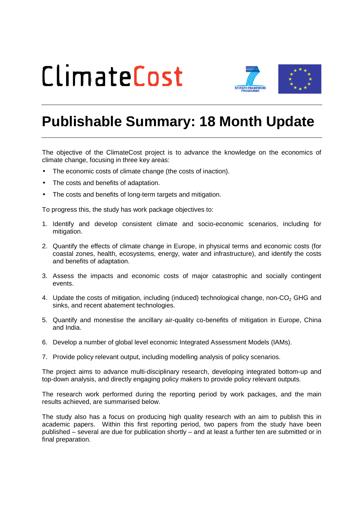## ClimateCost



## **Publishable Summary: 18 Month Update**

The objective of the ClimateCost project is to advance the knowledge on the economics of climate change, focusing in three key areas:

- The economic costs of climate change (the costs of inaction).
- The costs and benefits of adaptation.
- The costs and benefits of long-term targets and mitigation.

To progress this, the study has work package objectives to:

- 1. Identify and develop consistent climate and socio-economic scenarios, including for mitigation.
- 2. Quantify the effects of climate change in Europe, in physical terms and economic costs (for coastal zones, health, ecosystems, energy, water and infrastructure), and identify the costs and benefits of adaptation.
- 3. Assess the impacts and economic costs of major catastrophic and socially contingent events.
- 4. Update the costs of mitigation, including (induced) technological change, non-CO<sub>2</sub> GHG and sinks, and recent abatement technologies.
- 5. Quantify and monestise the ancillary air-quality co-benefits of mitigation in Europe, China and India.
- 6. Develop a number of global level economic Integrated Assessment Models (IAMs).
- 7. Provide policy relevant output, including modelling analysis of policy scenarios.

The project aims to advance multi-disciplinary research, developing integrated bottom-up and top-down analysis, and directly engaging policy makers to provide policy relevant outputs.

The research work performed during the reporting period by work packages, and the main results achieved, are summarised below.

The study also has a focus on producing high quality research with an aim to publish this in academic papers. Within this first reporting period, two papers from the study have been published – several are due for publication shortly – and at least a further ten are submitted or in final preparation.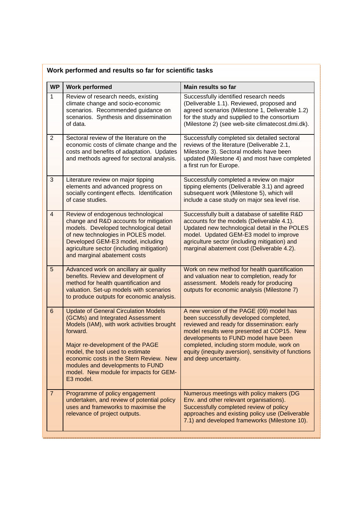| <b>WP</b>      | <b>Work performed</b>                                                                                                                                                                                                                                                                                                                                   | Main results so far                                                                                                                                                                                                                                                                                                                                    |
|----------------|---------------------------------------------------------------------------------------------------------------------------------------------------------------------------------------------------------------------------------------------------------------------------------------------------------------------------------------------------------|--------------------------------------------------------------------------------------------------------------------------------------------------------------------------------------------------------------------------------------------------------------------------------------------------------------------------------------------------------|
| $\mathbf{1}$   | Review of research needs, existing<br>climate change and socio-economic<br>scenarios. Recommended guidance on<br>scenarios. Synthesis and dissemination<br>of data.                                                                                                                                                                                     | Successfully identified research needs<br>(Deliverable 1.1). Reviewed, proposed and<br>agreed scenarios (Milestone 1, Deliverable 1.2)<br>for the study and supplied to the consortium<br>(Milestone 2) (see web-site climatecost.dmi.dk).                                                                                                             |
| $\overline{2}$ | Sectoral review of the literature on the<br>economic costs of climate change and the<br>costs and benefits of adaptation. Updates<br>and methods agreed for sectoral analysis.                                                                                                                                                                          | Successfully completed six detailed sectoral<br>reviews of the literature (Deliverable 2.1,<br>Milestone 3). Sectoral models have been<br>updated (Milestone 4) and most have completed<br>a first run for Europe.                                                                                                                                     |
| 3              | Literature review on major tipping<br>elements and advanced progress on<br>socially contingent effects. Identification<br>of case studies.                                                                                                                                                                                                              | Successfully completed a review on major<br>tipping elements (Deliverable 3.1) and agreed<br>subsequent work (Milestone 5), which will<br>include a case study on major sea level rise.                                                                                                                                                                |
| $\overline{4}$ | Review of endogenous technological<br>change and R&D accounts for mitigation<br>models. Developed technological detail<br>of new technologies in POLES model.<br>Developed GEM-E3 model, including<br>agriculture sector (including mitigation)<br>and marginal abatement costs                                                                         | Successfully built a database of satellite R&D<br>accounts for the models (Deliverable 4.1).<br>Updated new technological detail in the POLES<br>model. Updated GEM-E3 model to improve<br>agriculture sector (including mitigation) and<br>marginal abatement cost (Deliverable 4.2).                                                                 |
| 5              | Advanced work on ancillary air quality<br>benefits. Review and development of<br>method for health quantification and<br>valuation. Set-up models with scenarios<br>to produce outputs for economic analysis.                                                                                                                                           | Work on new method for health quantification<br>and valuation near to completion, ready for<br>assessment. Models ready for producing<br>outputs for economic analysis (Milestone 7)                                                                                                                                                                   |
| 6              | <b>Update of General Circulation Models</b><br>(GCMs) and Integrated Assessment<br>Models (IAM), with work activities brought<br>forward.<br>Major re-development of the PAGE<br>model, the tool used to estimate<br>economic costs in the Stern Review. New<br>modules and developments to FUND<br>model. New module for impacts for GEM-<br>E3 model. | A new version of the PAGE (09) model has<br>been successfully developed completed,<br>reviewed and ready for dissemination: early<br>model results were presented at COP15. New<br>developments to FUND model have been<br>completed, including storm module, work on<br>equity (inequity aversion), sensitivity of functions<br>and deep uncertainty. |
| $\overline{7}$ | Programme of policy engagement<br>undertaken, and review of potential policy<br>uses and frameworks to maximise the<br>relevance of project outputs.                                                                                                                                                                                                    | Numerous meetings with policy makers (DG<br>Env. and other relevant organisations).<br>Successfully completed review of policy<br>approaches and existing policy use (Deliverable<br>7.1) and developed frameworks (Milestone 10).                                                                                                                     |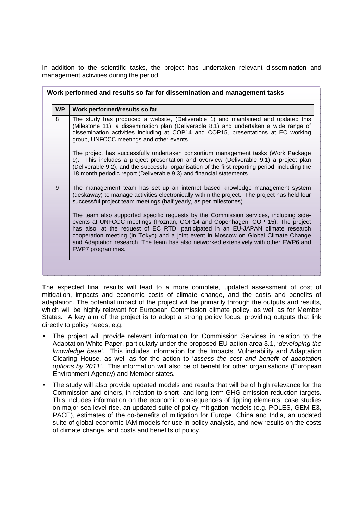In addition to the scientific tasks, the project has undertaken relevant dissemination and management activities during the period.

| <b>WP</b> | Work performed/results so far                                                                                                                                                                                                                                                                                                                                                                                                                                 |
|-----------|---------------------------------------------------------------------------------------------------------------------------------------------------------------------------------------------------------------------------------------------------------------------------------------------------------------------------------------------------------------------------------------------------------------------------------------------------------------|
| 8         | The study has produced a website, (Deliverable 1) and maintained and updated this<br>(Milestone 11), a dissemination plan (Deliverable 8.1) and undertaken a wide range of<br>dissemination activities including at COP14 and COP15, presentations at EC working<br>group, UNFCCC meetings and other events.                                                                                                                                                  |
|           | The project has successfully undertaken consortium management tasks (Work Package<br>9). This includes a project presentation and overview (Deliverable 9.1) a project plan<br>(Deliverable 9.2), and the successful organisation of the first reporting period, including the<br>18 month periodic report (Deliverable 9.3) and financial statements.                                                                                                        |
| 9         | The management team has set up an internet based knowledge management system<br>(deskaway) to manage activities electronically within the project. The project has held four<br>successful project team meetings (half yearly, as per milestones).                                                                                                                                                                                                            |
|           | The team also supported specific requests by the Commission services, including side-<br>events at UNFCCC meetings (Poznan, COP14 and Copenhagen, COP 15). The project<br>has also, at the request of EC RTD, participated in an EU-JAPAN climate research<br>cooperation meeting (in Tokyo) and a joint event in Moscow on Global Climate Change<br>and Adaptation research. The team has also networked extensively with other FWP6 and<br>FWP7 programmes. |

The expected final results will lead to a more complete, updated assessment of cost of mitigation, impacts and economic costs of climate change, and the costs and benefits of adaptation. The potential impact of the project will be primarily through the outputs and results, which will be highly relevant for European Commission climate policy, as well as for Member States. A key aim of the project is to adopt a strong policy focus, providing outputs that link directly to policy needs, e.g.

- The project will provide relevant information for Commission Services in relation to the Adaptation White Paper, particularly under the proposed EU action area 3.1, 'developing the knowledge base'. This includes information for the Impacts, Vulnerability and Adaptation Clearing House, as well as for the action to 'assess the cost and benefit of adaptation options by 2011'. This information will also be of benefit for other organisations (European Environment Agency) and Member states.
- The study will also provide updated models and results that will be of high relevance for the Commission and others, in relation to short- and long-term GHG emission reduction targets. This includes information on the economic consequences of tipping elements, case studies on major sea level rise, an updated suite of policy mitigation models (e.g. POLES, GEM-E3, PACE), estimates of the co-benefits of mitigation for Europe, China and India, an updated suite of global economic IAM models for use in policy analysis, and new results on the costs of climate change, and costs and benefits of policy.